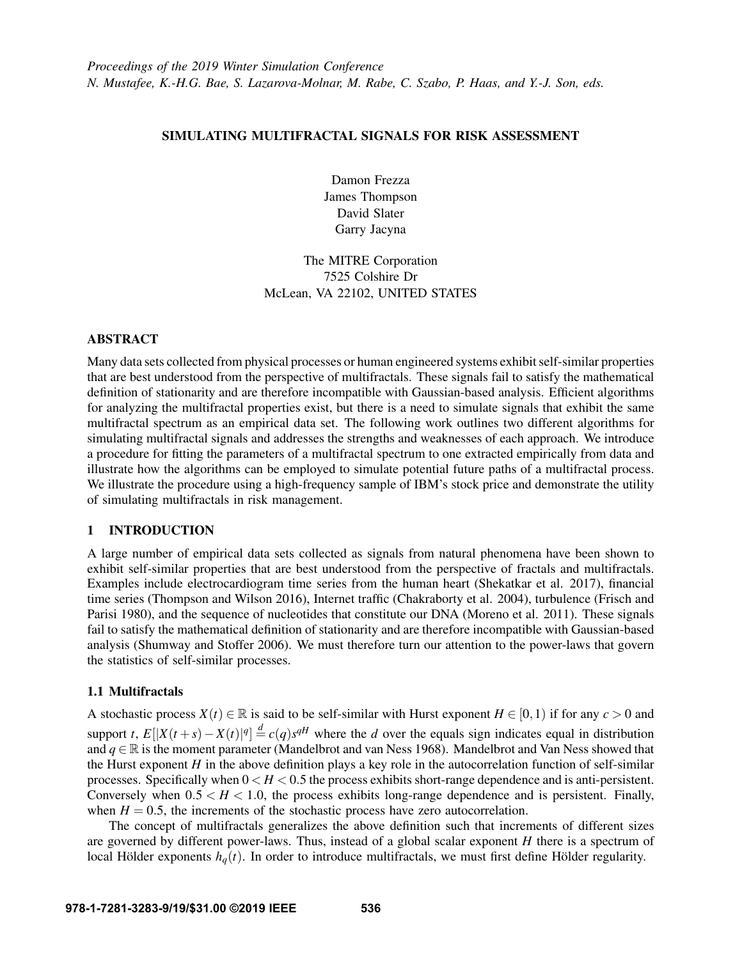# SIMULATING MULTIFRACTAL SIGNALS FOR RISK ASSESSMENT

Damon Frezza James Thompson David Slater Garry Jacyna

# The MITRE Corporation 7525 Colshire Dr McLean, VA 22102, UNITED STATES

# ABSTRACT

Many data sets collected from physical processes or human engineered systems exhibit self-similar properties that are best understood from the perspective of multifractals. These signals fail to satisfy the mathematical definition of stationarity and are therefore incompatible with Gaussian-based analysis. Efficient algorithms for analyzing the multifractal properties exist, but there is a need to simulate signals that exhibit the same multifractal spectrum as an empirical data set. The following work outlines two different algorithms for simulating multifractal signals and addresses the strengths and weaknesses of each approach. We introduce a procedure for fitting the parameters of a multifractal spectrum to one extracted empirically from data and illustrate how the algorithms can be employed to simulate potential future paths of a multifractal process. We illustrate the procedure using a high-frequency sample of IBM's stock price and demonstrate the utility of simulating multifractals in risk management.

## 1 INTRODUCTION

A large number of empirical data sets collected as signals from natural phenomena have been shown to exhibit self-similar properties that are best understood from the perspective of fractals and multifractals. Examples include electrocardiogram time series from the human heart [\(Shekatkar et al. 2017\)](#page-11-0), financial time series [\(Thompson and Wilson 2016\)](#page-11-1), Internet traffic [\(Chakraborty et al. 2004\)](#page-11-2), turbulence [\(Frisch and](#page-11-3) [Parisi 1980\)](#page-11-3), and the sequence of nucleotides that constitute our DNA [\(Moreno et al. 2011\)](#page-11-4). These signals fail to satisfy the mathematical definition of stationarity and are therefore incompatible with Gaussian-based analysis [\(Shumway and Stoffer 2006\)](#page-11-5). We must therefore turn our attention to the power-laws that govern the statistics of self-similar processes.

## 1.1 Multifractals

A stochastic process  $X(t) \in \mathbb{R}$  is said to be self-similar with Hurst exponent  $H \in [0,1)$  if for any  $c > 0$  and support *t*,  $E[|X(t+s) - X(t)|^q] \stackrel{d}{=} c(q)s^{qH}$  where the *d* over the equals sign indicates equal in distribution and  $q \in \mathbb{R}$  is the moment parameter [\(Mandelbrot and van Ness 1968\)](#page-11-6). Mandelbrot and Van Ness showed that the Hurst exponent *H* in the above definition plays a key role in the autocorrelation function of self-similar processes. Specifically when  $0 < H < 0.5$  the process exhibits short-range dependence and is anti-persistent. Conversely when  $0.5 < H < 1.0$ , the process exhibits long-range dependence and is persistent. Finally, when  $H = 0.5$ , the increments of the stochastic process have zero autocorrelation.

The concept of multifractals generalizes the above definition such that increments of different sizes are governed by different power-laws. Thus, instead of a global scalar exponent *H* there is a spectrum of local Hölder exponents  $h_q(t)$ . In order to introduce multifractals, we must first define Hölder regularity.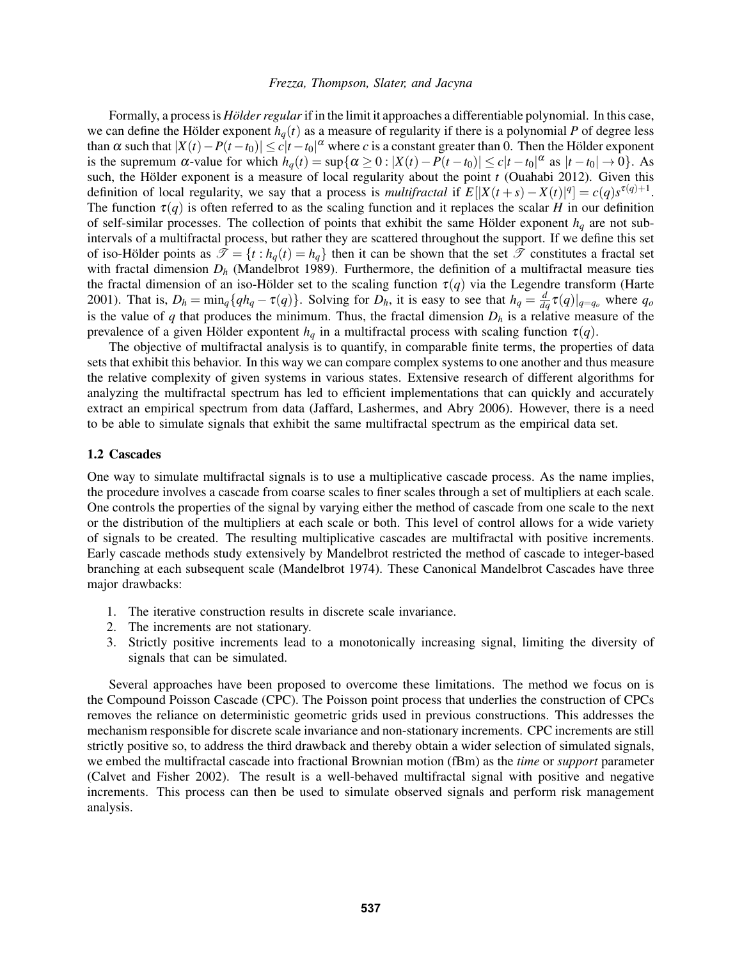Formally, a process is *Hölder regular* if in the limit it approaches a differentiable polynomial. In this case, we can define the Hölder exponent  $h_q(t)$  as a measure of regularity if there is a polynomial *P* of degree less than  $\alpha$  such that  $|X(t)-P(t-t_0)| \le c|t-t_0|^{\alpha}$  where *c* is a constant greater than 0. Then the Hölder exponent is the supremum  $\alpha$ -value for which  $h_q(t) = \sup\{\alpha \geq 0 : |X(t) - P(t - t_0)| \leq c|t - t_0|^{\alpha} \text{ as } |t - t_0| \to 0\}$ . As such, the Hölder exponent is a measure of local regularity about the point  $t$  [\(Ouahabi 2012\)](#page-11-7). Given this definition of local regularity, we say that a process is *multifractal* if  $E[|X(t+s) - X(t)|^q] = c(q)s^{\tau(q)+1}$ . The function  $\tau(q)$  is often referred to as the scaling function and it replaces the scalar *H* in our definition of self-similar processes. The collection of points that exhibit the same Hölder exponent  $h_q$  are not subintervals of a multifractal process, but rather they are scattered throughout the support. If we define this set of iso-Hölder points as  $\mathcal{T} = \{t : h_q(t) = h_q\}$  then it can be shown that the set  $\mathcal T$  constitutes a fractal set with fractal dimension  $D_h$  [\(Mandelbrot 1989\)](#page-11-8). Furthermore, the definition of a multifractal measure ties the fractal dimension of an iso-Holder set to the scaling function  $\tau(q)$  via the Legendre transform [\(Harte](#page-11-9) [2001\)](#page-11-9). That is,  $D_h = \min_q \{qh_q - \tau(q)\}\$ . Solving for  $D_h$ , it is easy to see that  $h_q = \frac{d}{dq}\tau(q)|_{q=q_o}$  where  $q_o$ is the value of  $q$  that produces the minimum. Thus, the fractal dimension  $D_h$  is a relative measure of the prevalence of a given Hölder expontent  $h_q$  in a multifractal process with scaling function  $\tau(q)$ .

The objective of multifractal analysis is to quantify, in comparable finite terms, the properties of data sets that exhibit this behavior. In this way we can compare complex systems to one another and thus measure the relative complexity of given systems in various states. Extensive research of different algorithms for analyzing the multifractal spectrum has led to efficient implementations that can quickly and accurately extract an empirical spectrum from data [\(Jaffard, Lashermes, and Abry 2006\)](#page-11-10). However, there is a need to be able to simulate signals that exhibit the same multifractal spectrum as the empirical data set.

## <span id="page-1-0"></span>1.2 Cascades

One way to simulate multifractal signals is to use a multiplicative cascade process. As the name implies, the procedure involves a cascade from coarse scales to finer scales through a set of multipliers at each scale. One controls the properties of the signal by varying either the method of cascade from one scale to the next or the distribution of the multipliers at each scale or both. This level of control allows for a wide variety of signals to be created. The resulting multiplicative cascades are multifractal with positive increments. Early cascade methods study extensively by Mandelbrot restricted the method of cascade to integer-based branching at each subsequent scale [\(Mandelbrot 1974\)](#page-11-11). These Canonical Mandelbrot Cascades have three major drawbacks:

- 1. The iterative construction results in discrete scale invariance.
- 2. The increments are not stationary.
- 3. Strictly positive increments lead to a monotonically increasing signal, limiting the diversity of signals that can be simulated.

Several approaches have been proposed to overcome these limitations. The method we focus on is the Compound Poisson Cascade (CPC). The Poisson point process that underlies the construction of CPCs removes the reliance on deterministic geometric grids used in previous constructions. This addresses the mechanism responsible for discrete scale invariance and non-stationary increments. CPC increments are still strictly positive so, to address the third drawback and thereby obtain a wider selection of simulated signals, we embed the multifractal cascade into fractional Brownian motion (fBm) as the *time* or *support* parameter [\(Calvet and Fisher 2002\)](#page-11-12). The result is a well-behaved multifractal signal with positive and negative increments. This process can then be used to simulate observed signals and perform risk management analysis.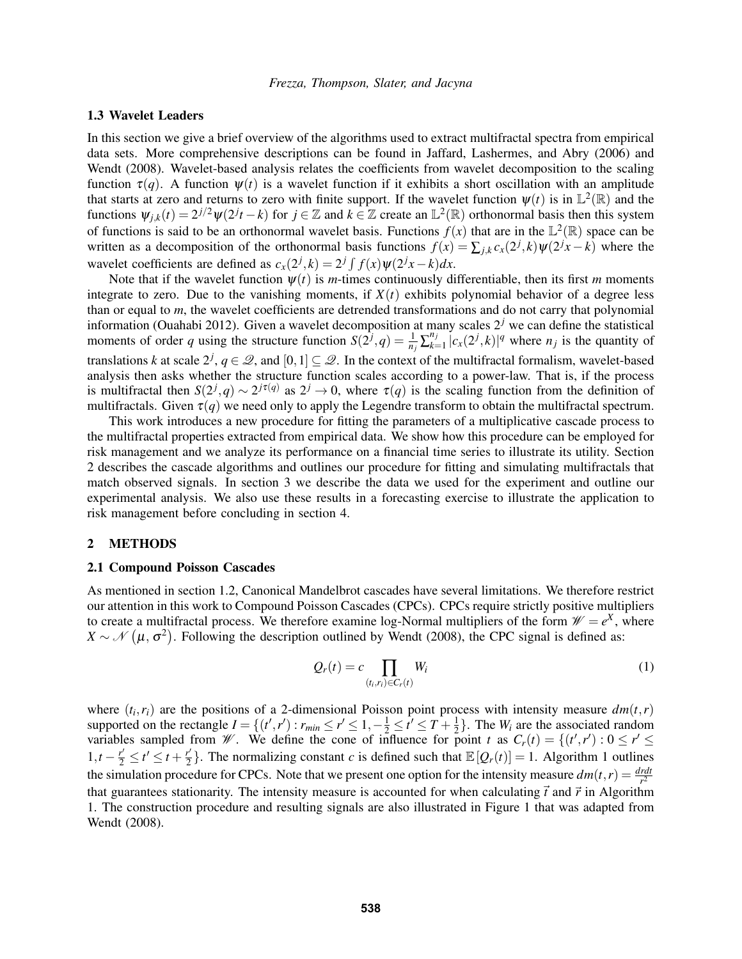### <span id="page-2-2"></span>1.3 Wavelet Leaders

In this section we give a brief overview of the algorithms used to extract multifractal spectra from empirical data sets. More comprehensive descriptions can be found in [Jaffard, Lashermes, and Abry \(2006\)](#page-11-10) and [Wendt \(2008\).](#page-11-13) Wavelet-based analysis relates the coefficients from wavelet decomposition to the scaling function  $\tau(q)$ . A function  $\psi(t)$  is a wavelet function if it exhibits a short oscillation with an amplitude that starts at zero and returns to zero with finite support. If the wavelet function  $\psi(t)$  is in  $\mathbb{L}^2(\mathbb{R})$  and the functions  $\psi_{j,k}(t) = 2^{j/2}\psi(2^j t - k)$  for  $j \in \mathbb{Z}$  and  $k \in \mathbb{Z}$  create an  $\mathbb{L}^2(\mathbb{R})$  orthonormal basis then this system of functions is said to be an orthonormal wavelet basis. Functions  $f(x)$  that are in the  $\mathbb{L}^2(\mathbb{R})$  space can be written as a decomposition of the orthonormal basis functions  $f(x) = \sum_{j,k} c_x(2^j, k) \psi(2^jx - k)$  where the wavelet coefficients are defined as  $c_x(2^j, k) = 2^j \int f(x) \psi(2^j x - k) dx$ .

Note that if the wavelet function  $\psi(t)$  is *m*-times continuously differentiable, then its first *m* moments integrate to zero. Due to the vanishing moments, if  $X(t)$  exhibits polynomial behavior of a degree less than or equal to *m*, the wavelet coefficients are detrended transformations and do not carry that polynomial information [\(Ouahabi 2012\)](#page-11-7). Given a wavelet decomposition at many scales 2*<sup>j</sup>* we can define the statistical moments of order *q* using the structure function  $S(2^j, q) = \frac{1}{n_j} \sum_{k=1}^{n_j}$  $\int_{k=1}^{n_j} |c_x(2^j, k)|^q$  where  $n_j$  is the quantity of translations *k* at scale  $2^j$ ,  $q \in \mathcal{Q}$ , and  $[0,1] \subseteq \mathcal{Q}$ . In the context of the multifractal formalism, wavelet-based analysis then asks whether the structure function scales according to a power-law. That is, if the process is multifractal then  $S(2^j, q) \sim 2^{j\tau(q)}$  as  $2^j \to 0$ , where  $\tau(q)$  is the scaling function from the definition of multifractals. Given  $\tau(q)$  we need only to apply the Legendre transform to obtain the multifractal spectrum.

This work introduces a new procedure for fitting the parameters of a multiplicative cascade process to the multifractal properties extracted from empirical data. We show how this procedure can be employed for risk management and we analyze its performance on a financial time series to illustrate its utility. Section [2](#page-2-0) describes the cascade algorithms and outlines our procedure for fitting and simulating multifractals that match observed signals. In section [3](#page-8-0) we describe the data we used for the experiment and outline our experimental analysis. We also use these results in a forecasting exercise to illustrate the application to risk management before concluding in section [4.](#page-10-0)

## <span id="page-2-0"></span>2 METHODS

#### 2.1 Compound Poisson Cascades

As mentioned in section [1.2,](#page-1-0) Canonical Mandelbrot cascades have several limitations. We therefore restrict our attention in this work to Compound Poisson Cascades (CPCs). CPCs require strictly positive multipliers to create a multifractal process. We therefore examine log-Normal multipliers of the form  $\mathcal{W} = e^X$ , where  $X \sim \mathcal{N}(\mu, \sigma^2)$ . Following the description outlined by [Wendt \(2008\),](#page-11-13) the CPC signal is defined as:

<span id="page-2-1"></span>
$$
Q_r(t) = c \prod_{(t_i, r_i) \in C_r(t)} W_i \tag{1}
$$

where  $(t_i, r_i)$  are the positions of a 2-dimensional Poisson point process with intensity measure  $dm(t, r)$ supported on the rectangle  $I = \{(t', r') : r_{min} \le r' \le 1, -\frac{1}{2} \le t' \le T + \frac{1}{2}\}$  $\frac{1}{2}$ . The *W<sub>i</sub>* are the associated random variables sampled from *W*. We define the cone of influence for point *t* as  $C_r(t) = \{(t', r') : 0 \le r' \le 0\}$  $1,t-\frac{r'}{2} \le t' \le t+\frac{r'}{2}$  $\frac{p'}{2}$ . The normalizing constant *c* is defined such that  $\mathbb{E}[Q_r(t)] = 1$  $\mathbb{E}[Q_r(t)] = 1$ . Algorithm 1 outlines the simulation procedure for CPCs. Note that we present one option for the intensity measure  $dm(t, r) = \frac{drdt}{r^2}$ that guarantees stationarity. The intensity measure is accounted for when calculating  $\vec{t}$  and  $\vec{r}$  in Algorithm [1.](#page-3-0) The construction procedure and resulting signals are also illustrated in Figure [1](#page-3-1) that was adapted from [Wendt \(2008\).](#page-11-13)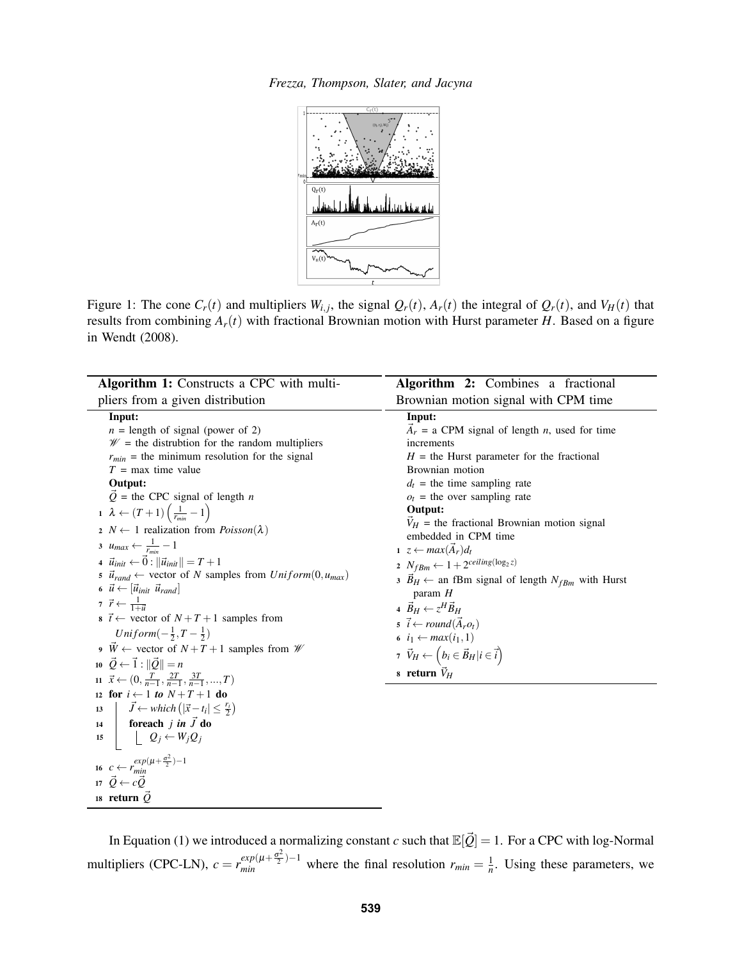*Frezza, Thompson, Slater, and Jacyna*

<span id="page-3-1"></span>

Figure 1: The cone  $C_r(t)$  and multipliers  $W_{i,j}$ , the signal  $Q_r(t)$ ,  $A_r(t)$  the integral of  $Q_r(t)$ , and  $V_H(t)$  that results from combining  $A_r(t)$  with fractional Brownian motion with Hurst parameter *H*. Based on a figure in [Wendt \(2008\).](#page-11-13)

<span id="page-3-0"></span>

| Algorithm 1: Constructs a CPC with multi-                                                                                                                                                                                                                                                                                                                                                                                                                                                                                                                                                                                                                                                                                                                                                                                                                                                                                                                                                                                                                                                                                                                                                                                                                                                                                                                                                                                                                           | Algorithm 2: Combines a fractional                                                                                                                                                                                                                                                                                                                                                                                                                                                                                                                                                                                                                                                                                             |
|---------------------------------------------------------------------------------------------------------------------------------------------------------------------------------------------------------------------------------------------------------------------------------------------------------------------------------------------------------------------------------------------------------------------------------------------------------------------------------------------------------------------------------------------------------------------------------------------------------------------------------------------------------------------------------------------------------------------------------------------------------------------------------------------------------------------------------------------------------------------------------------------------------------------------------------------------------------------------------------------------------------------------------------------------------------------------------------------------------------------------------------------------------------------------------------------------------------------------------------------------------------------------------------------------------------------------------------------------------------------------------------------------------------------------------------------------------------------|--------------------------------------------------------------------------------------------------------------------------------------------------------------------------------------------------------------------------------------------------------------------------------------------------------------------------------------------------------------------------------------------------------------------------------------------------------------------------------------------------------------------------------------------------------------------------------------------------------------------------------------------------------------------------------------------------------------------------------|
| pliers from a given distribution                                                                                                                                                                                                                                                                                                                                                                                                                                                                                                                                                                                                                                                                                                                                                                                                                                                                                                                                                                                                                                                                                                                                                                                                                                                                                                                                                                                                                                    | Brownian motion signal with CPM time                                                                                                                                                                                                                                                                                                                                                                                                                                                                                                                                                                                                                                                                                           |
| Input:<br>$n =$ length of signal (power of 2)<br>$\mathcal{W}$ = the distrubtion for the random multipliers<br>$r_{min}$ = the minimum resolution for the signal<br>$T = \text{max}$ time value<br>Output:<br>$\vec{Q}$ = the CPC signal of length <i>n</i><br>$1 \lambda \leftarrow (T+1) \left( \frac{1}{r_{min}} - 1 \right)$<br>2 $N \leftarrow 1$ realization from <i>Poisson</i> ( $\lambda$ )<br>3 $u_{max} \leftarrow \frac{1}{r_{min}} - 1$<br>4 $\vec{u}_{init} \leftarrow \vec{0} :   \vec{u}_{init}   = T + 1$<br>$\vec{u}_{rand} \leftarrow$ vector of N samples from $Uniform(0, u_{max})$<br>6 $\vec{u} \leftarrow  \vec{u}_{init} \vec{u}_{rand} $<br>7 $\vec{r} \leftarrow \frac{1}{1+\vec{u}}$<br>$\mathbf{s} \ \vec{t} \leftarrow$ vector of $N + T + 1$ samples from<br>Uniform $\left(-\frac{1}{2},T-\frac{1}{2}\right)$<br>$\overrightarrow{W} \leftarrow$ vector of $N+T+1$ samples from $\mathscr{W}$<br>10 $\vec{Q} \leftarrow \vec{1} :   \vec{Q}   = n$<br>11 $\vec{x} \leftarrow (0, \frac{T}{n-1}, \frac{2T}{n-1}, \frac{3T}{n-1}, , T)$<br>12 for $i \leftarrow 1$ to $N+T+1$ do<br>$\vec{J} \leftarrow \text{which } ( \vec{x} - t_i  \leq \frac{r_i}{2})$<br>13<br>foreach $j$ in $\vec{J}$ do<br>14<br>$\left  \begin{array}{c} \end{array} \right  \left  \begin{array}{c} Q_j \leftarrow W_j Q_j \end{array} \right $<br>15<br>16 $c \leftarrow r_{min}^{exp(\mu + \frac{\sigma^2}{2}) - 1}$<br>17 $\vec{O} \leftarrow c\vec{O}$ | Input:<br>$A_r$ = a CPM signal of length <i>n</i> , used for time<br>increments<br>$H =$ the Hurst parameter for the fractional<br>Brownian motion<br>$d_t$ = the time sampling rate<br>$o_t$ = the over sampling rate<br>Output:<br>$\vec{V}_H$ = the fractional Brownian motion signal<br>embedded in CPM time<br>$1 \ z \leftarrow max(A_r)d_t$<br>2 $N_{fBm} \leftarrow 1 + 2^{ceiling(\log_2 z)}$<br>$\overline{B}_H \leftarrow$ an fBm signal of length $N_{fBm}$ with Hurst<br>param $H$<br>4 $\vec{B}_H \leftarrow z^H \vec{B}_H$<br>$\vec{i} \leftarrow round(\vec{A}_{r}o_{t})$<br>6 $i_1 \leftarrow max(i_1, 1)$<br>7 $\vec{V}_H \leftarrow \left(b_i \in \vec{B}_H   i \in \vec{i}\right)$<br>8 return $\vec{V}_H$ |
| 18 return $\vec{Q}$                                                                                                                                                                                                                                                                                                                                                                                                                                                                                                                                                                                                                                                                                                                                                                                                                                                                                                                                                                                                                                                                                                                                                                                                                                                                                                                                                                                                                                                 |                                                                                                                                                                                                                                                                                                                                                                                                                                                                                                                                                                                                                                                                                                                                |

<span id="page-3-2"></span>In Equation [\(1\)](#page-2-1) we introduced a normalizing constant *c* such that  $\mathbb{E}[\vec{Q}] = 1$ . For a CPC with log-Normal multipliers (CPC-LN),  $c = r_{min}^{exp(\mu + \frac{\sigma^2}{2})}$  $\frac{exp(\mu + \frac{\sigma^2}{2}) - 1}{min}$  where the final resolution  $r_{min} = \frac{1}{n}$ . Using these parameters, we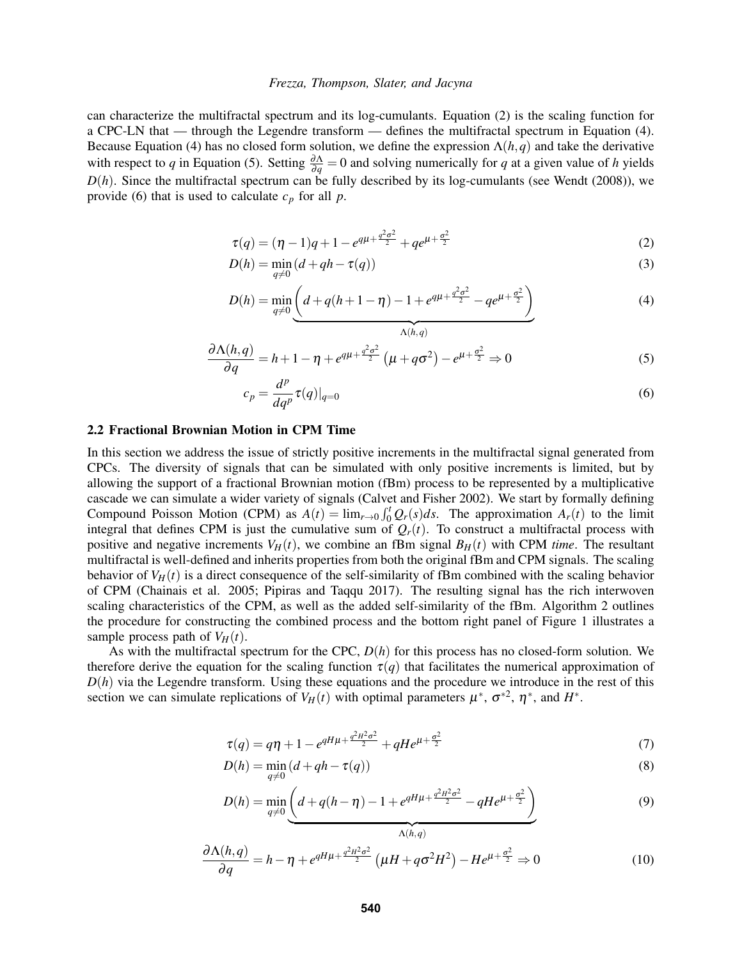can characterize the multifractal spectrum and its log-cumulants. Equation [\(2\)](#page-4-0) is the scaling function for a CPC-LN that — through the Legendre transform — defines the multifractal spectrum in Equation [\(4\)](#page-4-1). Because Equation [\(4\)](#page-4-1) has no closed form solution, we define the expression Λ(*h*,*q*) and take the derivative with respect to *q* in Equation [\(5\)](#page-4-2). Setting  $\frac{\partial \Lambda}{\partial q} = 0$  and solving numerically for *q* at a given value of *h* yields  $D(h)$ . Since the multifractal spectrum can be fully described by its log-cumulants (see [Wendt \(2008\)\)](#page-11-13), we provide [\(6\)](#page-4-3) that is used to calculate  $c_p$  for all  $p$ .

$$
\tau(q) = (\eta - 1)q + 1 - e^{q\mu + \frac{q^2 \sigma^2}{2}} + q e^{\mu + \frac{\sigma^2}{2}}
$$
 (2)

$$
D(h) = \min_{q \neq 0} \left( d + qh - \tau(q) \right) \tag{3}
$$

$$
D(h) = \min_{q \neq 0} \underbrace{\left(d + q(h + 1 - \eta) - 1 + e^{q\mu + \frac{q^2 \sigma^2}{2}} - q e^{\mu + \frac{\sigma^2}{2}}\right)}_{A(h,q)}\tag{4}
$$

$$
\frac{\partial \Lambda(h,q)}{\partial q} = h + 1 - \eta + e^{q\mu + \frac{q^2 \sigma^2}{2}} \left( \mu + q \sigma^2 \right) - e^{\mu + \frac{\sigma^2}{2}} \Rightarrow 0 \tag{5}
$$

<span id="page-4-3"></span><span id="page-4-2"></span><span id="page-4-1"></span><span id="page-4-0"></span>Λ(*h*,*q*)

$$
c_p = \frac{d^p}{dq^p} \tau(q)|_{q=0} \tag{6}
$$

## 2.2 Fractional Brownian Motion in CPM Time

In this section we address the issue of strictly positive increments in the multifractal signal generated from CPCs. The diversity of signals that can be simulated with only positive increments is limited, but by allowing the support of a fractional Brownian motion (fBm) process to be represented by a multiplicative cascade we can simulate a wider variety of signals [\(Calvet and Fisher 2002\)](#page-11-12). We start by formally defining Compound Poisson Motion (CPM) as  $A(t) = \lim_{r\to 0} \int_0^t Q_r(s) ds$ . The approximation  $A_r(t)$  to the limit integral that defines CPM is just the cumulative sum of  $Q_r(t)$ . To construct a multifractal process with positive and negative increments  $V_H(t)$ , we combine an fBm signal  $B_H(t)$  with CPM *time*. The resultant multifractal is well-defined and inherits properties from both the original fBm and CPM signals. The scaling behavior of  $V_H(t)$  is a direct consequence of the self-similarity of fBm combined with the scaling behavior of CPM [\(Chainais et al. 2005;](#page-11-14) [Pipiras and Taqqu 2017\)](#page-11-15). The resulting signal has the rich interwoven scaling characteristics of the CPM, as well as the added self-similarity of the fBm. Algorithm [2](#page-3-2) outlines the procedure for constructing the combined process and the bottom right panel of Figure [1](#page-3-1) illustrates a sample process path of  $V_H(t)$ .

As with the multifractal spectrum for the CPC, *D*(*h*) for this process has no closed-form solution. We therefore derive the equation for the scaling function  $\tau(q)$  that facilitates the numerical approximation of  $D(h)$  via the Legendre transform. Using these equations and the procedure we introduce in the rest of this section we can simulate replications of  $V_H(t)$  with optimal parameters  $\mu^*$ ,  $\sigma^{*2}$ ,  $\eta^*$ , and  $H^*$ .

$$
\tau(q) = q\eta + 1 - e^{qH\mu + \frac{q^2H^2\sigma^2}{2}} + qHe^{\mu + \frac{\sigma^2}{2}}
$$
\n<sup>(7)</sup>

$$
D(h) = \min_{q \neq 0} \left( d + qh - \tau(q) \right) \tag{8}
$$

$$
D(h) = \min_{q \neq 0} \underbrace{\left(d + q(h - \eta) - 1 + e^{qH\mu + \frac{q^2H^2\sigma^2}{2}} - qHe^{\mu + \frac{\sigma^2}{2}}\right)}_{\Delta(h, q)}
$$
(9)

$$
\frac{\partial \Lambda(h,q)}{\partial q} = h - \eta + e^{qH\mu + \frac{q^2H^2\sigma^2}{2}} \left(\mu H + q\sigma^2 H^2\right) - He^{\mu + \frac{\sigma^2}{2}} \Rightarrow 0 \tag{10}
$$

<span id="page-4-6"></span><span id="page-4-5"></span><span id="page-4-4"></span>Λ(*h*,*q*)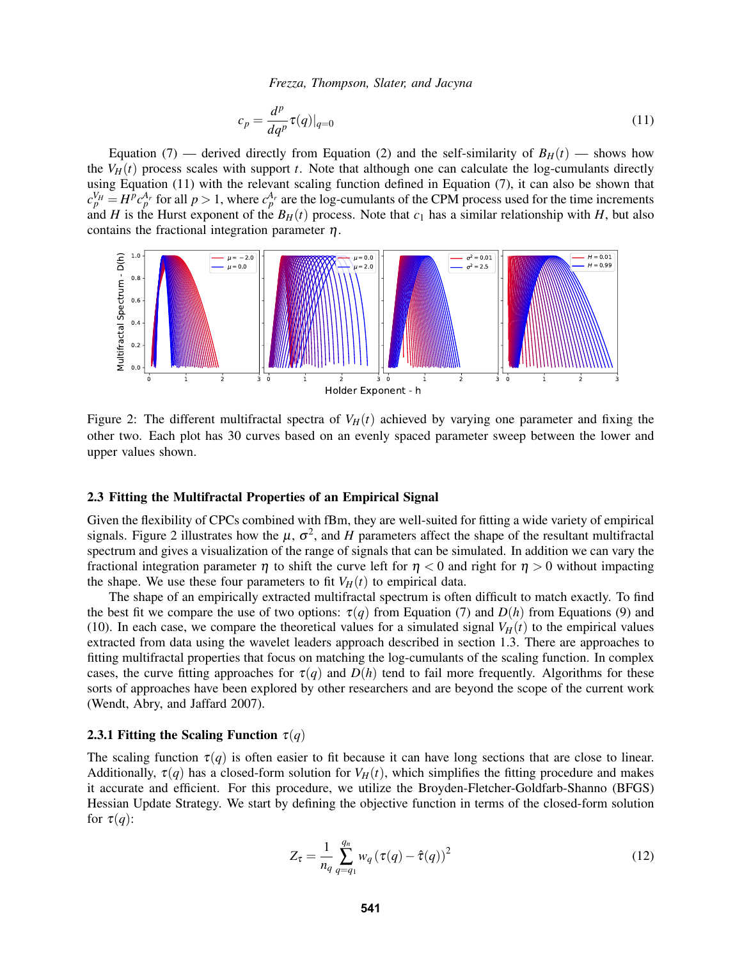<span id="page-5-1"></span><span id="page-5-0"></span>
$$
c_p = \frac{d^p}{dq^p} \tau(q)|_{q=0} \tag{11}
$$

Equation [\(7\)](#page-4-4) — derived directly from Equation [\(2\)](#page-4-0) and the self-similarity of  $B_H(t)$  — shows how the  $V_H(t)$  process scales with support *t*. Note that although one can calculate the log-cumulants directly using Equation [\(11\)](#page-5-0) with the relevant scaling function defined in Equation [\(7\)](#page-4-4), it can also be shown that  $c_p^{V_H} = H^p c_p^{A_r}$  for all  $p > 1$ , where  $c_p^{A_r}$  are the log-cumulants of the CPM process used for the time increments and *H* is the Hurst exponent of the  $B_H(t)$  process. Note that  $c_1$  has a similar relationship with *H*, but also contains the fractional integration parameter  $\eta$ .



Figure 2: The different multifractal spectra of  $V_H(t)$  achieved by varying one parameter and fixing the other two. Each plot has 30 curves based on an evenly spaced parameter sweep between the lower and upper values shown.

## <span id="page-5-3"></span>2.3 Fitting the Multifractal Properties of an Empirical Signal

Given the flexibility of CPCs combined with fBm, they are well-suited for fitting a wide variety of empirical signals. Figure [2](#page-5-1) illustrates how the  $\mu$ ,  $\sigma^2$ , and *H* parameters affect the shape of the resultant multifractal spectrum and gives a visualization of the range of signals that can be simulated. In addition we can vary the fractional integration parameter  $\eta$  to shift the curve left for  $\eta < 0$  and right for  $\eta > 0$  without impacting the shape. We use these four parameters to fit  $V_H(t)$  to empirical data.

The shape of an empirically extracted multifractal spectrum is often difficult to match exactly. To find the best fit we compare the use of two options:  $\tau(q)$  from Equation [\(7\)](#page-4-4) and  $D(h)$  from Equations [\(9\)](#page-4-5) and [\(10\)](#page-4-6). In each case, we compare the theoretical values for a simulated signal  $V_H(t)$  to the empirical values extracted from data using the wavelet leaders approach described in section [1.3.](#page-2-2) There are approaches to fitting multifractal properties that focus on matching the log-cumulants of the scaling function. In complex cases, the curve fitting approaches for  $\tau(q)$  and  $D(h)$  tend to fail more frequently. Algorithms for these sorts of approaches have been explored by other researchers and are beyond the scope of the current work [\(Wendt, Abry, and Jaffard 2007\)](#page-11-16).

### 2.3.1 Fitting the Scaling Function  $\tau(q)$

The scaling function  $\tau(q)$  is often easier to fit because it can have long sections that are close to linear. Additionally,  $\tau(q)$  has a closed-form solution for  $V_H(t)$ , which simplifies the fitting procedure and makes it accurate and efficient. For this procedure, we utilize the Broyden-Fletcher-Goldfarb-Shanno (BFGS) Hessian Update Strategy. We start by defining the objective function in terms of the closed-form solution for  $\tau(q)$ :

<span id="page-5-2"></span>
$$
Z_{\tau} = \frac{1}{n_q} \sum_{q=q_1}^{q_n} w_q (\tau(q) - \hat{\tau}(q))^2
$$
 (12)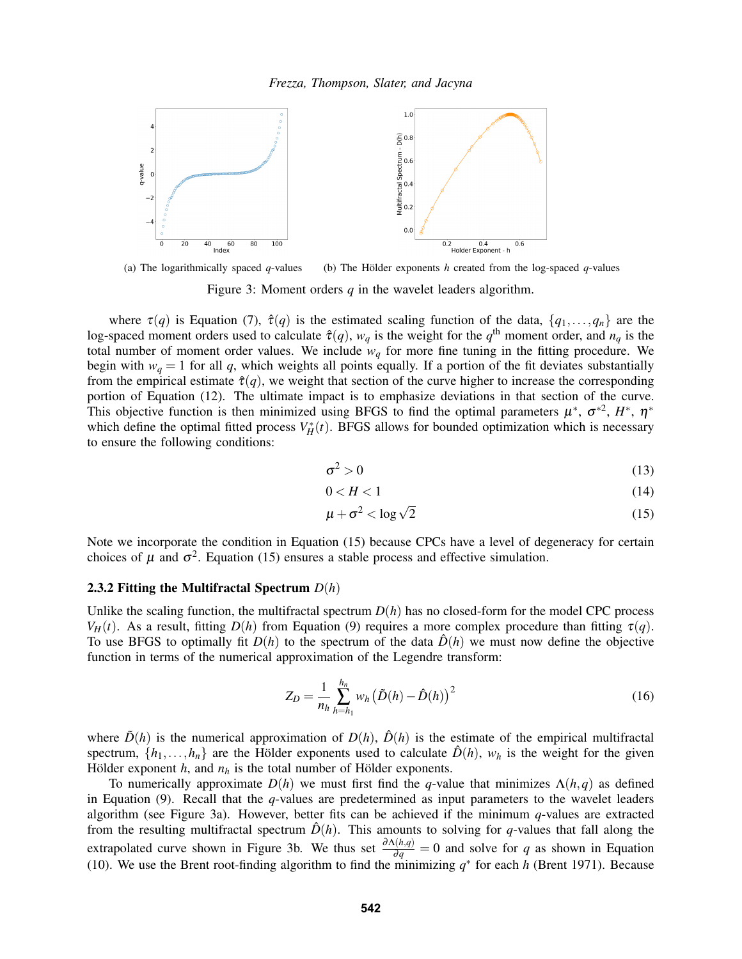

(a) The logarithmically spaced  $q$ -values (b) The Hölder exponents h created from the log-spaced  $q$ -values

Figure 3: Moment orders *q* in the wavelet leaders algorithm.

where  $\tau(q)$  is Equation [\(7\)](#page-4-4),  $\hat{\tau}(q)$  is the estimated scaling function of the data,  $\{q_1,\ldots,q_n\}$  are the log-spaced moment orders used to calculate  $\hat{\tau}(q)$ ,  $w_q$  is the weight for the  $q^{\text{th}}$  moment order, and  $n_q$  is the total number of moment order values. We include  $w_q$  for more fine tuning in the fitting procedure. We begin with  $w_q = 1$  for all *q*, which weights all points equally. If a portion of the fit deviates substantially from the empirical estimate  $\hat{\tau}(q)$ , we weight that section of the curve higher to increase the corresponding portion of Equation [\(12\)](#page-5-2). The ultimate impact is to emphasize deviations in that section of the curve. This objective function is then minimized using BFGS to find the optimal parameters  $\mu^*$ ,  $\sigma^{*2}$ ,  $H^*$ ,  $\eta^*$ which define the optimal fitted process  $V_H^*(t)$ . BFGS allows for bounded optimization which is necessary to ensure the following conditions:

<span id="page-6-2"></span><span id="page-6-1"></span>
$$
\sigma^2 > 0 \tag{13}
$$

$$
0 < H < 1 \tag{14}
$$

<span id="page-6-0"></span>
$$
\mu + \sigma^2 < \log \sqrt{2} \tag{15}
$$

Note we incorporate the condition in Equation [\(15\)](#page-6-0) because CPCs have a level of degeneracy for certain choices of  $\mu$  and  $\sigma^2$ . Equation [\(15\)](#page-6-0) ensures a stable process and effective simulation.

### 2.3.2 Fitting the Multifractal Spectrum *D*(*h*)

Unlike the scaling function, the multifractal spectrum  $D(h)$  has no closed-form for the model CPC process *V<sub>H</sub>*(*t*). As a result, fitting *D*(*h*) from Equation [\(9\)](#page-4-5) requires a more complex procedure than fitting  $\tau(q)$ . To use BFGS to optimally fit  $D(h)$  to the spectrum of the data  $\hat{D}(h)$  we must now define the objective function in terms of the numerical approximation of the Legendre transform:

$$
Z_D = \frac{1}{n_h} \sum_{h=h_1}^{h_n} w_h \left( \tilde{D}(h) - \hat{D}(h) \right)^2
$$
 (16)

where  $\tilde{D}(h)$  is the numerical approximation of  $D(h)$ ,  $\hat{D}(h)$  is the estimate of the empirical multifractal spectrum,  $\{h_1, \ldots, h_n\}$  are the Hölder exponents used to calculate  $\hat{D}(h)$ ,  $w_h$  is the weight for the given Hölder exponent  $h$ , and  $n_h$  is the total number of Hölder exponents.

To numerically approximate  $D(h)$  we must first find the *q*-value that minimizes  $\Lambda(h,q)$  as defined in Equation [\(9\)](#page-4-5). Recall that the *q*-values are predetermined as input parameters to the wavelet leaders algorithm (see Figure [3a](#page-6-1)). However, better fits can be achieved if the minimum *q*-values are extracted from the resulting multifractal spectrum  $\hat{D}(h)$ . This amounts to solving for *q*-values that fall along the extrapolated curve shown in Figure [3b](#page-6-1). We thus set  $\frac{\partial \Lambda(h,q)}{\partial q} = 0$  and solve for *q* as shown in Equation [\(10\)](#page-4-6). We use the Brent root-finding algorithm to find the minimizing  $q^*$  for each *h* [\(Brent 1971\)](#page-11-17). Because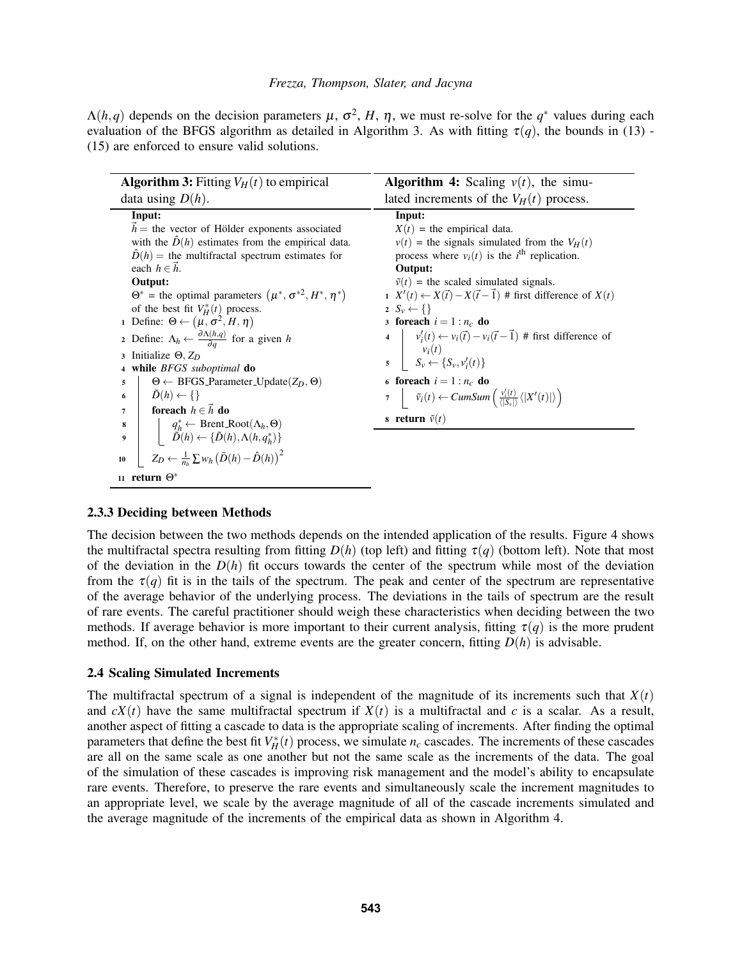$\Lambda(h,q)$  depends on the decision parameters  $\mu$ ,  $\sigma^2$ ,  $H$ ,  $\eta$ , we must re-solve for the  $q^*$  values during each evaluation of the BFGS algorithm as detailed in Algorithm [3.](#page-7-0) As with fitting  $\tau(q)$ , the bounds in [\(13\)](#page-6-2) -[\(15\)](#page-6-0) are enforced to ensure valid solutions.

| <b>Algorithm 3:</b> Fitting $V_H(t)$ to empirical                                                                                                                                                                                                                                                                                                                                                    | <b>Algorithm 4:</b> Scaling $v(t)$ , the simu-                                                                                                                                                                                                                                                                                                                             |
|------------------------------------------------------------------------------------------------------------------------------------------------------------------------------------------------------------------------------------------------------------------------------------------------------------------------------------------------------------------------------------------------------|----------------------------------------------------------------------------------------------------------------------------------------------------------------------------------------------------------------------------------------------------------------------------------------------------------------------------------------------------------------------------|
| data using $D(h)$ .                                                                                                                                                                                                                                                                                                                                                                                  | lated increments of the $V_H(t)$ process.                                                                                                                                                                                                                                                                                                                                  |
| Input:<br>$h =$ the vector of Hölder exponents associated<br>with the $\hat{D}(h)$ estimates from the empirical data.<br>$\hat{D}(h)$ = the multifractal spectrum estimates for<br>each $h \in \mathcal{h}$ .<br>Output:<br>$\Theta^*$ = the optimal parameters $(\mu^*, \sigma^{*2}, H^*, \eta^*)$<br>of the best fit $V_H^*(t)$ process.<br>1 Define: $\Theta \leftarrow (\mu, \sigma^2, H, \eta)$ | Input:<br>$X(t)$ = the empirical data.<br>$v(t)$ = the signals simulated from the $V_H(t)$<br>process where $v_i(t)$ is the <i>i</i> <sup>th</sup> replication.<br>Output:<br>$\tilde{v}(t)$ = the scaled simulated signals.<br>$X'(t) \leftarrow X(\vec{t}) - X(\vec{t} - \vec{1})$ # first difference of $X(t)$<br>2 $S_v \leftarrow \{\}$<br>3 foreach $i = 1 : n_c$ do |
| 2 Define: $\Lambda_h \leftarrow \frac{\partial \Lambda(h,q)}{\partial q}$ for a given h<br>3 Initialize $\Theta$ , $Z_D$<br>4 while BFGS suboptimal do                                                                                                                                                                                                                                               | 4 $v'_i(t) \leftarrow v_i(\vec{t}) - v_i(\vec{t} - \vec{1})$ # first difference of<br>$\begin{array}{c c} \n\mathbf{y}_i(t) & \mathbf{y}_i(t) & \mathbf{y}_i \in \{S_v, v'_i(t)\} \n\end{array}$                                                                                                                                                                           |
| $\Theta \leftarrow$ BFGS_Parameter_Update(Z <sub>D</sub> , $\Theta$ )<br>5                                                                                                                                                                                                                                                                                                                           | 6 foreach $i = 1 : n_c$ do                                                                                                                                                                                                                                                                                                                                                 |
| $D(h) \leftarrow \{\}$<br>6                                                                                                                                                                                                                                                                                                                                                                          | $\tau$ $\bar{v}_i(t) \leftarrow CumSum\left(\frac{v'_i(t)}{  S  } \langle  X'(t)  \rangle\right)$                                                                                                                                                                                                                                                                          |
| foreach $h \in \vec{h}$ do<br>7                                                                                                                                                                                                                                                                                                                                                                      |                                                                                                                                                                                                                                                                                                                                                                            |
| 8                                                                                                                                                                                                                                                                                                                                                                                                    | 8 return $\tilde{v}(t)$                                                                                                                                                                                                                                                                                                                                                    |
| $\begin{cases} q_h^* \leftarrow \text{Brent\_Root}(\Lambda_h, \Theta) \\ \tilde{D}(h) \leftarrow \{\tilde{D}(h), \Lambda(h, q_h^*)\} \end{cases}$<br>9                                                                                                                                                                                                                                               |                                                                                                                                                                                                                                                                                                                                                                            |
| $Z_D \leftarrow \frac{1}{n_h} \sum w_h \left( \tilde{D}(h) - \hat{D}(h) \right)^2$<br>10                                                                                                                                                                                                                                                                                                             |                                                                                                                                                                                                                                                                                                                                                                            |
| 11 return $\Theta^*$                                                                                                                                                                                                                                                                                                                                                                                 |                                                                                                                                                                                                                                                                                                                                                                            |

## <span id="page-7-1"></span><span id="page-7-0"></span>2.3.3 Deciding between Methods

The decision between the two methods depends on the intended application of the results. Figure [4](#page-8-1) shows the multifractal spectra resulting from fitting  $D(h)$  (top left) and fitting  $\tau(q)$  (bottom left). Note that most of the deviation in the  $D(h)$  fit occurs towards the center of the spectrum while most of the deviation from the  $\tau(q)$  fit is in the tails of the spectrum. The peak and center of the spectrum are representative of the average behavior of the underlying process. The deviations in the tails of spectrum are the result of rare events. The careful practitioner should weigh these characteristics when deciding between the two methods. If average behavior is more important to their current analysis, fitting  $\tau(q)$  is the more prudent method. If, on the other hand, extreme events are the greater concern, fitting  $D(h)$  is advisable.

### <span id="page-7-2"></span>2.4 Scaling Simulated Increments

The multifractal spectrum of a signal is independent of the magnitude of its increments such that  $X(t)$ and  $cX(t)$  have the same multifractal spectrum if  $X(t)$  is a multifractal and c is a scalar. As a result, another aspect of fitting a cascade to data is the appropriate scaling of increments. After finding the optimal parameters that define the best fit  $V_H^*(t)$  process, we simulate  $n_c$  cascades. The increments of these cascades are all on the same scale as one another but not the same scale as the increments of the data. The goal of the simulation of these cascades is improving risk management and the model's ability to encapsulate rare events. Therefore, to preserve the rare events and simultaneously scale the increment magnitudes to an appropriate level, we scale by the average magnitude of all of the cascade increments simulated and the average magnitude of the increments of the empirical data as shown in Algorithm [4.](#page-7-1)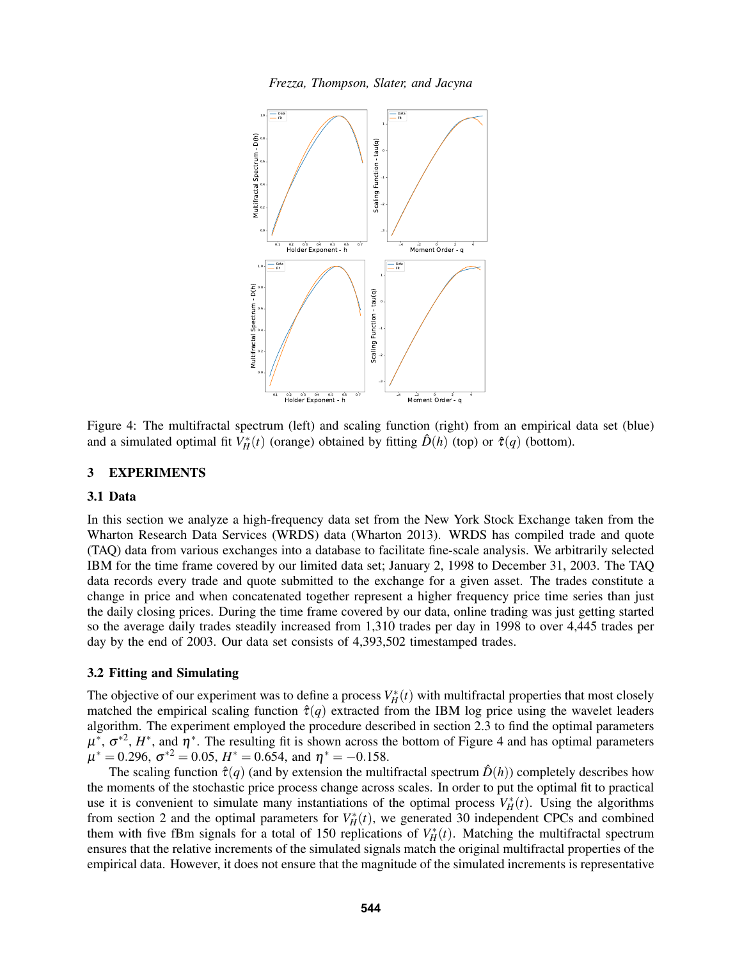<span id="page-8-1"></span>*Frezza, Thompson, Slater, and Jacyna*



Figure 4: The multifractal spectrum (left) and scaling function (right) from an empirical data set (blue) and a simulated optimal fit  $V_H^*(t)$  (orange) obtained by fitting  $\hat{D}(h)$  (top) or  $\hat{\tau}(q)$  (bottom).

## <span id="page-8-0"></span>3 EXPERIMENTS

## 3.1 Data

In this section we analyze a high-frequency data set from the New York Stock Exchange taken from the Wharton Research Data Services (WRDS) data [\(Wharton 2013\)](#page-11-18). WRDS has compiled trade and quote (TAQ) data from various exchanges into a database to facilitate fine-scale analysis. We arbitrarily selected IBM for the time frame covered by our limited data set; January 2, 1998 to December 31, 2003. The TAQ data records every trade and quote submitted to the exchange for a given asset. The trades constitute a change in price and when concatenated together represent a higher frequency price time series than just the daily closing prices. During the time frame covered by our data, online trading was just getting started so the average daily trades steadily increased from 1,310 trades per day in 1998 to over 4,445 trades per day by the end of 2003. Our data set consists of 4,393,502 timestamped trades.

## 3.2 Fitting and Simulating

The objective of our experiment was to define a process  $V^*_{H}(t)$  with multifractal properties that most closely matched the empirical scaling function  $\hat{\tau}(q)$  extracted from the IBM log price using the wavelet leaders algorithm. The experiment employed the procedure described in section [2.3](#page-5-3) to find the optimal parameters  $\mu^*$ ,  $\sigma^{*2}$ ,  $H^*$ , and  $\eta^*$ . The resulting fit is shown across the bottom of Figure [4](#page-8-1) and has optimal parameters  $\mu^* = 0.296$ ,  $\sigma^{*2} = 0.05$ ,  $H^* = 0.654$ , and  $\eta^* = -0.158$ .

The scaling function  $\hat{\tau}(q)$  (and by extension the multifractal spectrum  $\hat{D}(h)$ ) completely describes how the moments of the stochastic price process change across scales. In order to put the optimal fit to practical use it is convenient to simulate many instantiations of the optimal process  $V_H^*(t)$ . Using the algorithms from section [2](#page-2-0) and the optimal parameters for  $V_H^*(t)$ , we generated 30 independent CPCs and combined them with five fBm signals for a total of 150 replications of  $V_H^*(t)$ . Matching the multifractal spectrum ensures that the relative increments of the simulated signals match the original multifractal properties of the empirical data. However, it does not ensure that the magnitude of the simulated increments is representative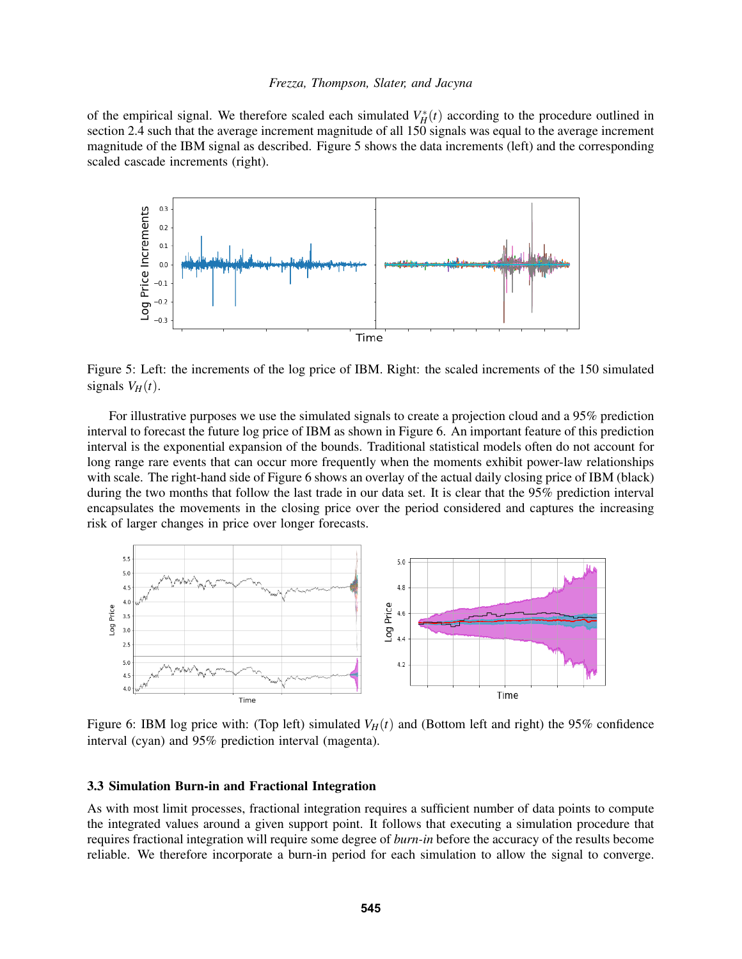of the empirical signal. We therefore scaled each simulated  $V_H^*(t)$  according to the procedure outlined in section [2.4](#page-7-2) such that the average increment magnitude of all 150 signals was equal to the average increment magnitude of the IBM signal as described. Figure [5](#page-9-0) shows the data increments (left) and the corresponding scaled cascade increments (right).

<span id="page-9-0"></span>

Figure 5: Left: the increments of the log price of IBM. Right: the scaled increments of the 150 simulated signals  $V_H(t)$ .

For illustrative purposes we use the simulated signals to create a projection cloud and a 95% prediction interval to forecast the future log price of IBM as shown in Figure [6.](#page-9-1) An important feature of this prediction interval is the exponential expansion of the bounds. Traditional statistical models often do not account for long range rare events that can occur more frequently when the moments exhibit power-law relationships with scale. The right-hand side of Figure [6](#page-9-1) shows an overlay of the actual daily closing price of IBM (black) during the two months that follow the last trade in our data set. It is clear that the 95% prediction interval encapsulates the movements in the closing price over the period considered and captures the increasing risk of larger changes in price over longer forecasts.

<span id="page-9-1"></span>

Figure 6: IBM log price with: (Top left) simulated  $V_H(t)$  and (Bottom left and right) the 95% confidence interval (cyan) and 95% prediction interval (magenta).

## 3.3 Simulation Burn-in and Fractional Integration

As with most limit processes, fractional integration requires a sufficient number of data points to compute the integrated values around a given support point. It follows that executing a simulation procedure that requires fractional integration will require some degree of *burn-in* before the accuracy of the results become reliable. We therefore incorporate a burn-in period for each simulation to allow the signal to converge.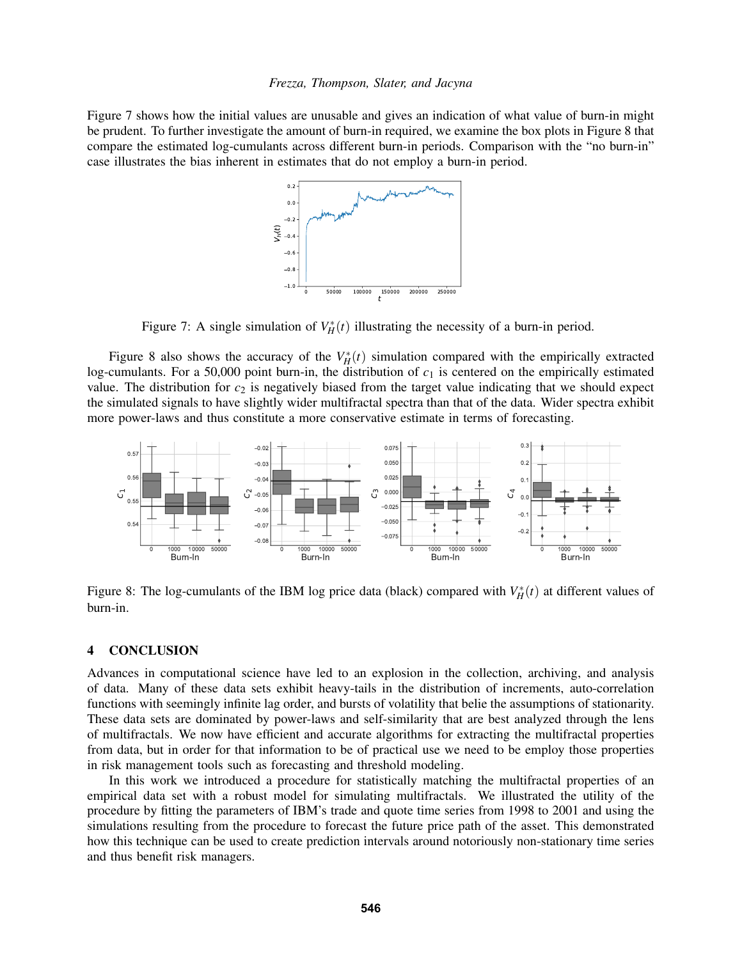Figure [7](#page-10-1) shows how the initial values are unusable and gives an indication of what value of burn-in might be prudent. To further investigate the amount of burn-in required, we examine the box plots in Figure [8](#page-10-2) that compare the estimated log-cumulants across different burn-in periods. Comparison with the "no burn-in" case illustrates the bias inherent in estimates that do not employ a burn-in period.

<span id="page-10-2"></span><span id="page-10-1"></span>

Figure 7: A single simulation of  $V_H^*(t)$  illustrating the necessity of a burn-in period.

Figure [8](#page-10-2) also shows the accuracy of the  $V_H^*(t)$  simulation compared with the empirically extracted log-cumulants. For a 50,000 point burn-in, the distribution of  $c_1$  is centered on the empirically estimated value. The distribution for  $c_2$  is negatively biased from the target value indicating that we should expect the simulated signals to have slightly wider multifractal spectra than that of the data. Wider spectra exhibit more power-laws and thus constitute a more conservative estimate in terms of forecasting.



Figure 8: The log-cumulants of the IBM log price data (black) compared with  $V_H^*(t)$  at different values of burn-in.

### <span id="page-10-0"></span>4 CONCLUSION

Advances in computational science have led to an explosion in the collection, archiving, and analysis of data. Many of these data sets exhibit heavy-tails in the distribution of increments, auto-correlation functions with seemingly infinite lag order, and bursts of volatility that belie the assumptions of stationarity. These data sets are dominated by power-laws and self-similarity that are best analyzed through the lens of multifractals. We now have efficient and accurate algorithms for extracting the multifractal properties from data, but in order for that information to be of practical use we need to be employ those properties in risk management tools such as forecasting and threshold modeling.

In this work we introduced a procedure for statistically matching the multifractal properties of an empirical data set with a robust model for simulating multifractals. We illustrated the utility of the procedure by fitting the parameters of IBM's trade and quote time series from 1998 to 2001 and using the simulations resulting from the procedure to forecast the future price path of the asset. This demonstrated how this technique can be used to create prediction intervals around notoriously non-stationary time series and thus benefit risk managers.